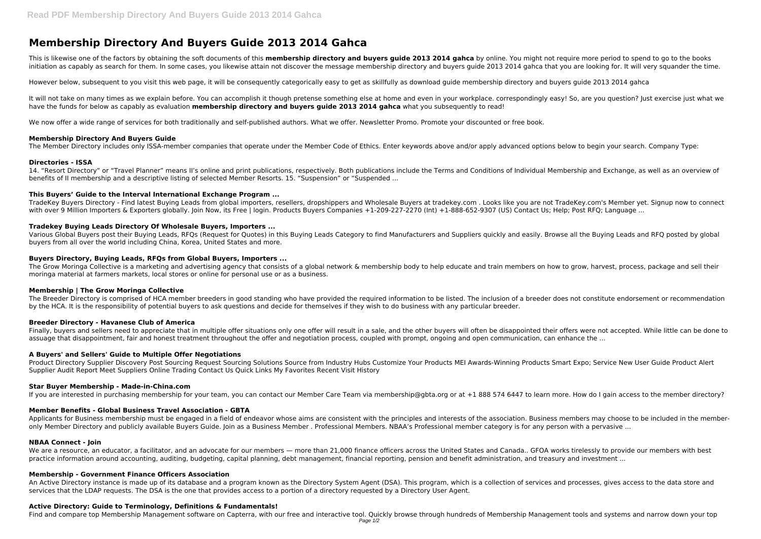This is likewise one of the factors by obtaining the soft documents of this **membership directory and buyers guide 2013 2014 gahca** by online. You might not require more period to spend to go to the books initiation as capably as search for them. In some cases, you likewise attain not discover the message membership directory and buyers guide 2013 2014 gahca that you are looking for. It will very squander the time.

# **Membership Directory And Buyers Guide 2013 2014 Gahca**

It will not take on many times as we explain before. You can accomplish it though pretense something else at home and even in your workplace. correspondingly easy! So, are you question? Just exercise just what we have the funds for below as capably as evaluation **membership directory and buyers guide 2013 2014 gahca** what you subsequently to read!

We now offer a wide range of services for both traditionally and self-published authors. What we offer. Newsletter Promo. Promote your discounted or free book.

However below, subsequent to you visit this web page, it will be consequently categorically easy to get as skillfully as download guide membership directory and buyers guide 2013 2014 gahca

TradeKey Buyers Directory - Find latest Buying Leads from global importers, resellers, dropshippers and Wholesale Buyers at tradekey.com . Looks like you are not TradeKey.com's Member yet. Signup now to connect with over 9 Million Importers & Exporters globally, Join Now, its Free | login. Products Buyers Companies +1-209-227-2270 (Int) +1-888-652-9307 (US) Contact Us; Help; Post RFO; Language ...

# **Membership Directory And Buyers Guide**

The Member Directory includes only ISSA-member companies that operate under the Member Code of Ethics. Enter keywords above and/or apply advanced options below to begin your search. Company Type:

# **Directories - ISSA**

The Grow Moringa Collective is a marketing and advertising agency that consists of a global network & membership body to help educate and train members on how to grow, harvest, process, package and sell their moringa material at farmers markets, local stores or online for personal use or as a business.

14. "Resort Directory" or "Travel Planner" means II's online and print publications, respectively. Both publications include the Terms and Conditions of Individual Membership and Exchange, as well as an overview of benefits of II membership and a descriptive listing of selected Member Resorts. 15. "Suspension" or "Suspended ...

# **This Buyers' Guide to the Interval International Exchange Program ...**

# **Tradekey Buying Leads Directory Of Wholesale Buyers, Importers ...**

Applicants for Business membership must be engaged in a field of endeavor whose aims are consistent with the principles and interests of the association. Business members may choose to be included in the memberonly Member Directory and publicly available Buyers Guide. Join as a Business Member . Professional Members. NBAA's Professional member category is for any person with a pervasive ...

Various Global Buyers post their Buying Leads, RFQs (Request for Quotes) in this Buying Leads Category to find Manufacturers and Suppliers quickly and easily. Browse all the Buying Leads and RFQ posted by global buyers from all over the world including China, Korea, United States and more.

# **Buyers Directory, Buying Leads, RFQs from Global Buyers, Importers ...**

We are a resource, an educator, a facilitator, and an advocate for our members — more than 21,000 finance officers across the United States and Canada.. GFOA works tirelessly to provide our members with best practice information around accounting, auditing, budgeting, capital planning, debt management, financial reporting, pension and benefit administration, and treasury and investment ...

An Active Directory instance is made up of its database and a program known as the Directory System Agent (DSA). This program, which is a collection of services and processes, gives access to the data store and services that the LDAP requests. The DSA is the one that provides access to a portion of a directory requested by a Directory User Agent.

## **Membership | The Grow Moringa Collective**

The Breeder Directory is comprised of HCA member breeders in good standing who have provided the required information to be listed. The inclusion of a breeder does not constitute endorsement or recommendation by the HCA. It is the responsibility of potential buyers to ask questions and decide for themselves if they wish to do business with any particular breeder.

## **Breeder Directory - Havanese Club of America**

Finally, buyers and sellers need to appreciate that in multiple offer situations only one offer will result in a sale, and the other buyers will often be disappointed their offers were not accepted. While little can be don assuage that disappointment, fair and honest treatment throughout the offer and negotiation process, coupled with prompt, ongoing and open communication, can enhance the ...

## **A Buyers' and Sellers' Guide to Multiple Offer Negotiations**

Product Directory Supplier Discovery Post Sourcing Request Sourcing Solutions Source from Industry Hubs Customize Your Products MEI Awards-Winning Products Smart Expo; Service New User Guide Product Alert Supplier Audit Report Meet Suppliers Online Trading Contact Us Quick Links My Favorites Recent Visit History

## **Star Buyer Membership - Made-in-China.com**

If you are interested in purchasing membership for your team, you can contact our Member Care Team via membership@gbta.org or at +1 888 574 6447 to learn more. How do I gain access to the member directory?

## **Member Benefits - Global Business Travel Association - GBTA**

## **NBAA Connect - Join**

## **Membership - Government Finance Officers Association**

## **Active Directory: Guide to Terminology, Definitions & Fundamentals!**

Find and compare top Membership Management software on Capterra, with our free and interactive tool. Quickly browse through hundreds of Membership Management tools and systems and narrow down your top